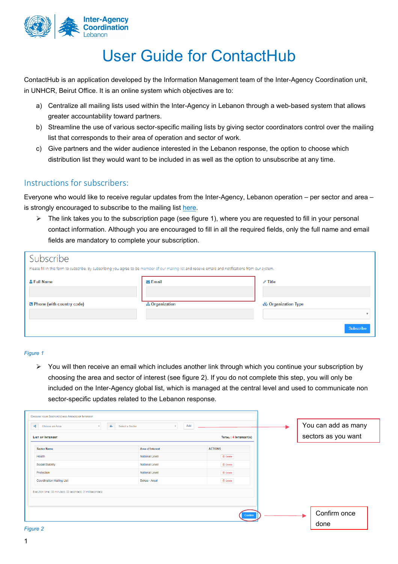

# User Guide for ContactHub

ContactHub is an application developed by the Information Management team of the Inter-Agency Coordination unit, in UNHCR, Beirut Office. It is an online system which objectives are to:

- a) Centralize all mailing lists used within the Inter-Agency in Lebanon through a web-based system that allows greater accountability toward partners.
- b) Streamline the use of various sector-specific mailing lists by giving sector coordinators control over the mailing list that corresponds to their area of operation and sector of work.
- c) Give partners and the wider audience interested in the Lebanon response, the option to choose which distribution list they would want to be included in as well as the option to unsubscribe at any time.

# Instructions for subscribers:

Everyone who would like to receive regular updates from the Inter-Agency, Lebanon operation – per sector and area – is strongly encouraged to subscribe to the mailing list [here.](http://ialebanon.unhcr.org/contacthub/subscription.aspx)

 $\triangleright$  The link takes you to the subscription page (see figure 1), where you are requested to fill in your personal contact information. Although you are encouraged to fill in all the required fields, only the full name and email fields are mandatory to complete your subscription.

| Subscribe<br>Please fill in this form to subscribe. By subscribing you agree to be member of our mailing list and receive emails and notifications from our system. |                        |                     |  |  |  |  |  |
|---------------------------------------------------------------------------------------------------------------------------------------------------------------------|------------------------|---------------------|--|--|--|--|--|
| & Full Name                                                                                                                                                         | $\triangleright$ Email | $\mathcal{N}$ Title |  |  |  |  |  |
| <b>B</b> Phone (with country code)                                                                                                                                  | <b>A</b> Organization  | & Organization Type |  |  |  |  |  |
|                                                                                                                                                                     |                        | Subscribe           |  |  |  |  |  |

#### *Figure 1*

 $\triangleright$  You will then receive an email which includes another link through which you continue your subscription by choosing the area and sector of interest (see figure 2). If you do not complete this step, you will only be included on the Inter-Agency global list, which is managed at the central level and used to communicate non sector-specific updates related to the Lebanon response.

| Choose an Area<br>亩<br><b>LIST OF INTEREST</b>                   | Add<br>Select a Sector  | TOTAL : 4 INTEREST(S) | You can add as many<br>sectors as you want |
|------------------------------------------------------------------|-------------------------|-----------------------|--------------------------------------------|
| <b>Sector Name</b>                                               | <b>Area of Interest</b> | <b>ACTIONS</b>        |                                            |
| Health                                                           | <b>National Level</b>   | <b>自</b> Delete       |                                            |
| <b>Social Stability</b>                                          | <b>National Level</b>   | <b>自</b> Delete       |                                            |
| Protection                                                       | <b>National Level</b>   | <b>自</b> Delete       |                                            |
| <b>Coordination Mailing List</b>                                 | Bekaa - Arsal           | <b>自</b> Delete       |                                            |
| Execution time : 00 minute(s), 00 seconde(s), 01 milliseconde(s) |                         | Confirm               | Confirm once                               |

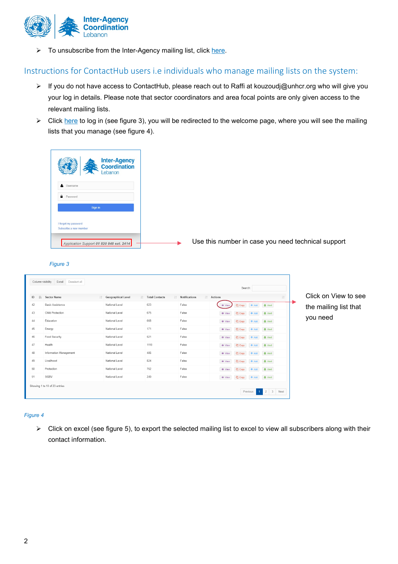

 $\triangleright$  To unsubscribe from the Inter-Agency mailing list, click [here.](http://ialebanon.unhcr.org/contacthub/Unsubscribe.aspx)

## Instructions for ContactHub users i.e individuals who manage mailing lists on the system:

- ▶ If you do not have access to ContactHub, please reach out to Raffi at [kouzoudj@unhcr.org](mailto:kouzoudj@unhcr.org) who will give you your log in details. Please note that sector coordinators and area focal points are only given access to the relevant mailing lists.
- ▶ Click [here](http://ialebanon.unhcr.org/contacthub/Login.aspx) to log in (see figure 3), you will be redirected to the welcome page, where you will see the mailing lists that you manage (see figure 4).





## *Figure 3*

| Column visibility | Excel<br>Deselect all         |                             |                       |                               |                | Search:                      |                                    |                       |
|-------------------|-------------------------------|-----------------------------|-----------------------|-------------------------------|----------------|------------------------------|------------------------------------|-----------------------|
| ID<br>lä.         | <b>Sector Name</b>            | If Geographical Level<br>It | <b>Total Contacts</b> | It Notifications<br><b>LT</b> | Actions        |                              | <b>JT</b>                          | Click on View to see  |
| 42                | <b>Basic Assistance</b>       | National Level              | 623                   | False                         | ⊕ View         | <sup>2</sup> Copy<br>$+$ Add | <b>A</b> Alert                     | the mailing list that |
| 43                | Child Protection              | National Level              | 675                   | False                         | ⊕ View         | <b>CO</b> Copy<br>$+$ Add    | A Alert                            |                       |
| 44                | Education                     | National Level              | 668                   | False                         | ⊕ View         | <b>CODY</b><br>$+$ Add       | <b>A</b> Alert                     | you need              |
| 45                | Energy                        | National Level              | 171                   | False                         | $\bullet$ View | <b>CO Copy</b>               | + Add <b>A</b> Alert               |                       |
| 46                | Food Security                 | National Level              | 521                   | False                         | ⊕ View         | <b>CD</b> Copy<br>$+$ Add    | <b>A</b> Alert                     |                       |
| 47                | Health                        | National Level              | 1110                  | False                         | ⊕ View         | <b>C</b> Copy<br>$+$ Add     | <b>A</b> Alert                     |                       |
| 48                | Information Management        | National Level              | 485                   | False                         | <b>⊙</b> View  | <b>CD</b> Copy<br>$+$ Add    | <b>A</b> Alert                     |                       |
| 49                | Livelihood                    | National Level              | 824                   | False                         | ⊕ View         | <b>C</b> D Copy              | + Add Alert                        |                       |
| 50                | Protection                    | National Level              | 762                   | False                         | ⊕ View         | C Copy<br>$+$ Add            | <b>A</b> Alert                     |                       |
| 51                | SGBV                          | National Level              | 249                   | False                         | ⊕ View         | C Copy                       | + Add <b>4</b> Alert               |                       |
|                   | Showing 1 to 10 of 23 entries |                             |                       |                               |                | Previous                     | $2 \quad 3$ Next<br>1 <sup>1</sup> |                       |

#### *Figure 4*

 $\triangleright$  Click on excel (see figure 5), to export the selected mailing list to excel to view all subscribers along with their contact information.